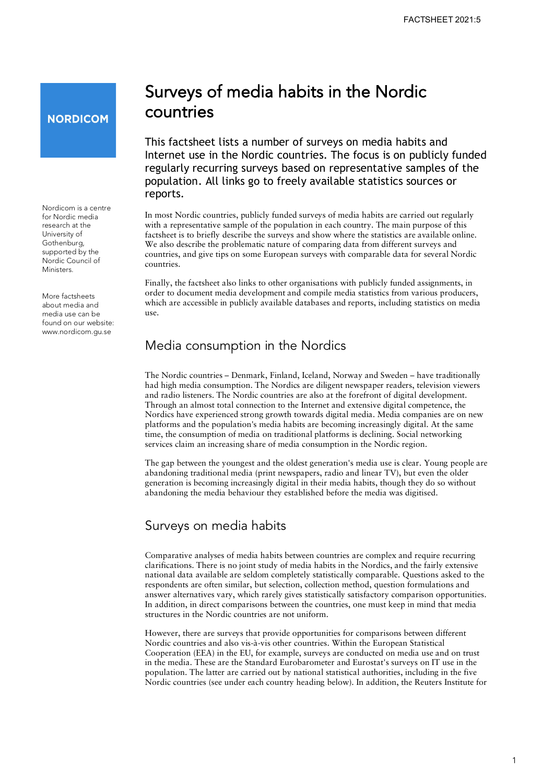# **NORDICOM**

Nordicom is a centre for Nordic media research at the University of Gothenburg, supported by the Nordic Council of Ministers.

 found on our website: More factsheets about media and media use can be <www.nordicom.gu.se>

# Surveys of media habits in the Nordic countries

This factsheet lists a number of surveys on media habits and Internet use in the Nordic countries. The focus is on publicly funded regularly recurring surveys based on representative samples of the population. All links go to freely available statistics sources or reports.

In most Nordic countries, publicly funded surveys of media habits are carried out regularly with a representative sample of the population in each country. The main purpose of this factsheet is to briefly describe the surveys and show where the statistics are available online. We also describe the problematic nature of comparing data from different surveys and countries, and give tips on some European surveys with comparable data for several Nordic countries.

Finally, the factsheet also links to other organisations with publicly funded assignments, in order to document media development and compile media statistics from various producers, which are accessible in publicly available databases and reports, including statistics on media use.

# Media consumption in the Nordics

The Nordic countries – Denmark, Finland, Iceland, Norway and Sweden – have traditionally had high media consumption. The Nordics are diligent newspaper readers, television viewers and radio listeners. The Nordic countries are also at the forefront of digital development. Through an almost total connection to the Internet and extensive digital competence, the Nordics have experienced strong growth towards digital media. Media companies are on new platforms and the population's media habits are becoming increasingly digital. At the same time, the consumption of media on traditional platforms is declining. Social networking services claim an increasing share of media consumption in the Nordic region.

The gap between the youngest and the oldest generation's media use is clear. Young people are abandoning traditional media (print newspapers, radio and linear TV), but even the older generation is becoming increasingly digital in their media habits, though they do so without abandoning the media behaviour they established before the media was digitised.

# Surveys on media habits

Comparative analyses of media habits between countries are complex and require recurring clarifications. There is no joint study of media habits in the Nordics, and the fairly extensive national data available are seldom completely statistically comparable. Questions asked to the respondents are often similar, but selection, collection method, question formulations and answer alternatives vary, which rarely gives statistically satisfactory comparison opportunities. In addition, in direct comparisons between the countries, one must keep in mind that media structures in the Nordic countries are not uniform.

 Nordic countries (see under each country heading below). In addition, the Reuters Institute for However, there are surveys that provide opportunities for comparisons between different Nordic countries and also vis-à-vis other countries. Within the European Statistical Cooperation (EEA) in the EU, for example, surveys are conducted on media use and on trust in the media. These are the Standard Eurobarometer and Eurostat's surveys on IT use in the population. The latter are carried out by national statistical authorities, including in the five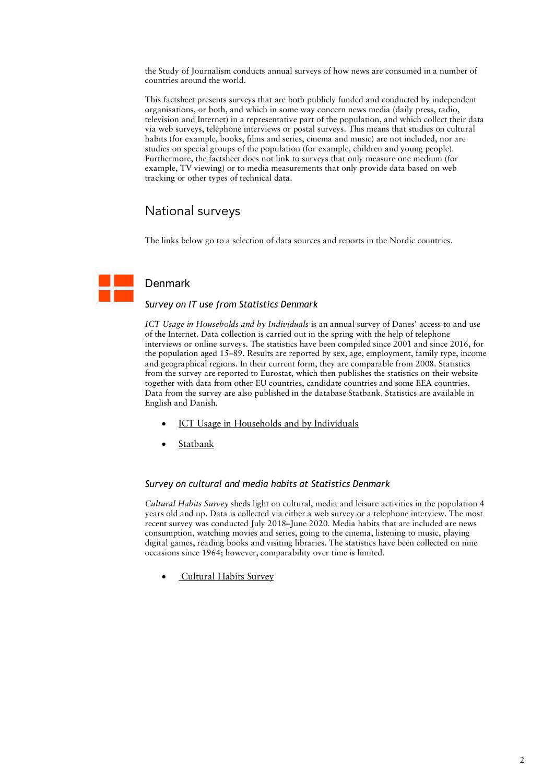the Study of Journalism conducts annual surveys of how news are consumed in a number of countries around the world.

 television and Internet) in a representative part of the population, and which collect their data habits (for example, books, films and series, cinema and music) are not included, nor are This factsheet presents surveys that are both publicly funded and conducted by independent organisations, or both, and which in some way concern news media (daily press, radio, via web surveys, telephone interviews or postal surveys. This means that studies on cultural studies on special groups of the population (for example, children and young people). Furthermore, the factsheet does not link to surveys that only measure one medium (for example, TV viewing) or to media measurements that only provide data based on web tracking or other types of technical data.

# National surveys

The links below go to a selection of data sources and reports in the Nordic countries.

# Denmark

### *Survey on IT use from Statistics Denmark*

 interviews or online surveys. The statistics have been compiled since 2001 and since 2016, for the population aged 15–89. Results are reported by sex, age, employment, family type, income Data from the survey are also published in the database Statbank. Statistics are available in English and Danish. *ICT Usage in Households and by Individuals* is an annual survey of Danes' access to and use of the Internet. Data collection is carried out in the spring with the help of telephone and geographical regions. In their current form, they are comparable from 2008. Statistics from the survey are reported to Eurostat, which then publishes the statistics on their website together with data from other EU countries, candidate countries and some EEA countries.

- [ICT Usage in Households and by Individuals](https://www.dst.dk/en/Statistik/dokumentation/documentationofstatistics/ict-usage-in-households-and-by-individuals)
- **[Statbank](https://www.statbank.dk/statbank5a/default.asp?w=1152)**

#### *Survey on cultural and media habits at Statistics Denmark*

 years old and up. Data is collected via either a web survey or a telephone interview. The most *Cultural Habits Survey* sheds light on cultural, media and leisure activities in the population 4 recent survey was conducted July 2018–June 2020. Media habits that are included are news consumption, watching movies and series, going to the cinema, listening to music, playing digital games, reading books and visiting libraries. The statistics have been collected on nine occasions since 1964; however, comparability over time is limited.

• [Cultural Habits Survey](https://www.dst.dk/en/Statistik/dokumentation/documentationofstatistics/cultural-habits-survey)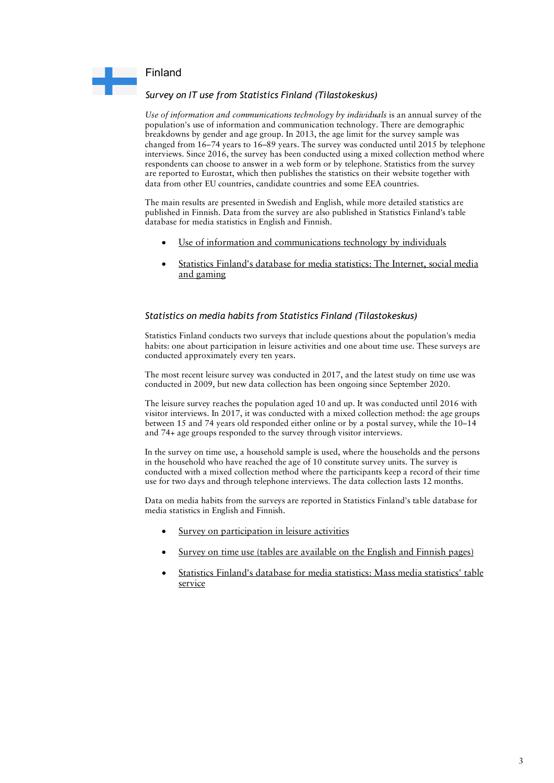

# *Survey on IT use from Statistics Finland (Tilastokeskus)*

 are reported to Eurostat, which then publishes the statistics on their website together with data from other EU countries, candidate countries and some EEA countries. *Use of information and communications technology by individuals* is an annual survey of the population's use of information and communication technology. There are demographic breakdowns by gender and age group. In 2013, the age limit for the survey sample was changed from 16–74 years to 16–89 years. The survey was conducted until 2015 by telephone interviews. Since 2016, the survey has been conducted using a mixed collection method where respondents can choose to answer in a web form or by telephone. Statistics from the survey

data from other EU countries, candidate countries and some EEA countries.<br>The main results are presented in Swedish and English, while more detailed statistics are published in Finnish. Data from the survey are also published in Statistics Finland's table database for media statistics in English and Finnish.

- [Use of information and communications technology by individuals](https://www.tilastokeskus.fi/til/sutivi/index_en.html)
- [Statistics Finland's database for media statistics: The Internet, social media](https://pxhopea2.stat.fi/sahkoiset_julkaisut/joukkoviestintatilasto/html/engl0005.htm) and gaming

# *Statistics on media habits from Statistics Finland (Tilastokeskus)*

 Statistics Finland conducts two surveys that include questions about the population's media habits: one about participation in leisure activities and one about time use. These surveys are conducted approximately every ten years.

 The most recent leisure survey was conducted in 2017, and the latest study on time use was conducted in 2009, but new data collection has been ongoing since September 2020.

 The leisure survey reaches the population aged 10 and up. It was conducted until 2016 with visitor interviews. In 2017, it was conducted with a mixed collection method: the age groups between 15 and 74 years old responded either online or by a postal survey, while the 10–14 and 74+ age groups responded to the survey through visitor interviews.

 conducted with a mixed collection method where the participants keep a record of their time use for two days and through telephone interviews. The data collection lasts 12 months. In the survey on time use, a household sample is used, where the households and the persons in the household who have reached the age of 10 constitute survey units. The survey is

Data on media habits from the surveys are reported in Statistics Finland's table database for media statistics in English and Finnish.

- [Survey on participation in leisure activities](https://stat.fi/til/vpa/index_en.html)
- [Survey on time use](https://stat.fi/til/akay/index_en.html) (tables are available on the English and Finnish pages)
- [Statistics Finland's database for media statistics: Mass media statistics' table](https://pxhopea2.stat.fi/sahkoiset_julkaisut/joukkoviestintatilasto/alku.htm) service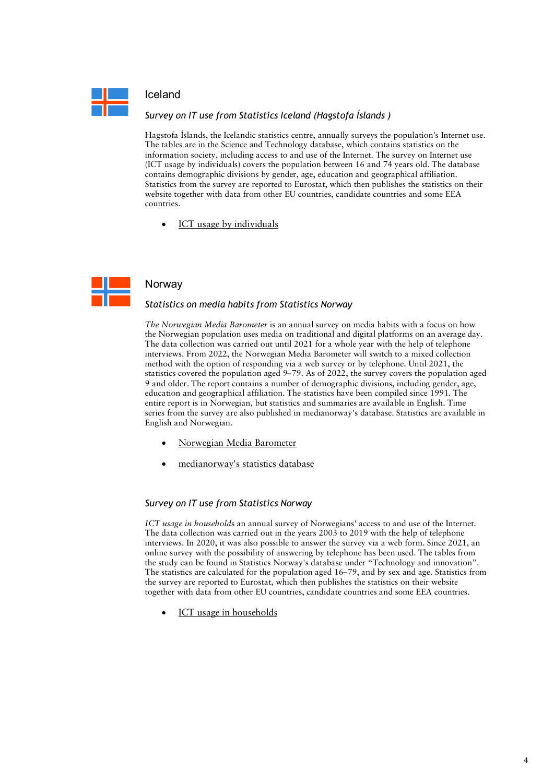

### Iceland

### *Survey on IT use from Statistics Iceland (Hagstofa Íslands )*

 (ICT usage by individuals) covers the population between 16 and 74 years old. The database Hagstofa Íslands, the Icelandic statistics centre, annually surveys the population's Internet use. The tables are in the Science and Technology database, which contains statistics on the information society, including access to and use of the Internet. The survey on Internet use contains demographic divisions by gender, age, education and geographical affiliation. Statistics from the survey are reported to Eurostat, which then publishes the statistics on their website together with data from other EU countries, candidate countries and some EEA countries.

[ICT usage by individuals](https://translate.google.com/translate?hl=en&prev=_t&sl=sv&tl=en&u=https://www.statice.is/statistics/business-sectors/science-and-technology/ict-usage-by-individuals/)



## Norway

#### *Statistics on media habits from Statistics Norway*

 *The Norwegian Media Barometer* is an annual survey on media habits with a focus on how the Norwegian population uses media on traditional and digital platforms on an average day. 9 and older. The report contains a number of demographic divisions, including gender, age, entire report is in Norwegian, but statistics and summaries are available in English. Time series from the survey are also published in medianorway's database. Statistics are available in English and Norwegian. The data collection was carried out until 2021 for a whole year with the help of telephone interviews. From 2022, the Norwegian Media Barometer will switch to a mixed collection method with the option of responding via a web survey or by telephone. Until 2021, the statistics covered the population aged 9–79. As of 2022, the survey covers the population aged education and geographical affiliation. The statistics have been compiled since 1991. The

- [Norwegian Media Barometer](https://www.ssb.no/en/kultur-og-fritid/tids-og-mediebruk/statistikk/norsk-mediebarometer)
- [medianorway's statistics database](https://medienorge.uib.no/english/?cat=statistikk)

#### *Survey on IT use from Statistics Norway*

 interviews. In 2020, it was also possible to answer the survey via a web form. Since 2021, an together with data from other EU countries, candidate countries and some EEA countries. *ICT usage in household*s an annual survey of Norwegians' access to and use of the Internet. The data collection was carried out in the years 2003 to 2019 with the help of telephone online survey with the possibility of answering by telephone has been used. The tables from the study can be found in Statistics Norway's database under "Technology and innovation". The statistics are calculated for the population aged 16–79, and by sex and age. Statistics from the survey are reported to Eurostat, which then publishes the statistics on their website

[ICT usage in households](https://www.ssb.no/en/teknologi-og-innovasjon/informasjons-og-kommunikasjonsteknologi-ikt/statistikk/bruk-av-ikt-i-husholdningene)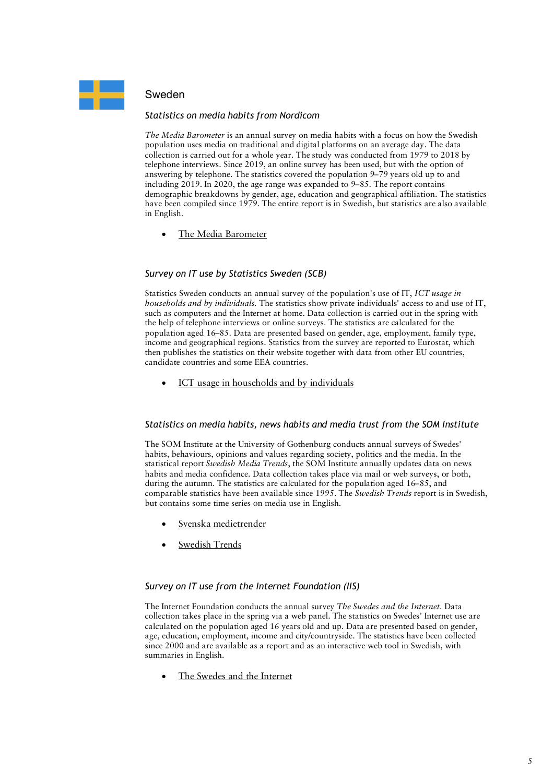

# Sweden

### *Statistics on media habits from Nordicom*

 telephone interviews. Since 2019, an online survey has been used, but with the option of in English. *The Media Barometer* is an annual survey on media habits with a focus on how the Swedish population uses media on traditional and digital platforms on an average day. The data collection is carried out for a whole year. The study was conducted from 1979 to 2018 by answering by telephone. The statistics covered the population 9–79 years old up to and including 2019. In 2020, the age range was expanded to 9–85. The report contains demographic breakdowns by gender, age, education and geographical affiliation. The statistics have been compiled since 1979. The entire report is in Swedish, but statistics are also available

• [The Media Barometer](https://www.nordicom.gu.se/en/media-barometer)

# *Survey on IT use by Statistics Sweden (SCB)*

Statistics Sweden conducts an annual survey of the population's use of IT, *ICT usage in households and by individuals.* The statistics show private individuals' access to and use of IT, such as computers and the Internet at home. Data collection is carried out in the spring with the help of telephone interviews or online surveys. The statistics are calculated for the population aged 16–85. Data are presented based on gender, age, employment, family type, income and geographical regions. Statistics from the survey are reported to Eurostat, which then publishes the statistics on their website together with data from other EU countries, candidate countries and some EEA countries.

• [ICT usage in households and by individuals](https://www.scb.se/en/finding-statistics/statistics-by-subject-area/living-conditions/living-conditions/ict-usage-in-households-and-by-individuals/)

#### *Statistics on media habits, news habits and media trust from the SOM Institute*

 The SOM Institute at the University of Gothenburg conducts annual surveys of Swedes' habits and media confidence. Data collection takes place via mail or web surveys, or both, comparable statistics have been available since 1995. The *Swedish Trends* report is in Swedish, habits, behaviours, opinions and values regarding society, politics and the media. In the statistical report *Swedish Media Trends*, the SOM Institute annually updates data on news during the autumn. The statistics are calculated for the population aged 16–85, and but contains some time series on media use in English.

- [Svenska medietrender](https://translate.google.com/translate?hl=en&prev=_t&sl=sv&tl=en&u=https://www.gu.se/som-institutet/resultat-och-publikationer/rapporter)
- **[Swedish Trends](https://www.gu.se/en/som-institute)**

#### *Survey on IT use from the Internet Foundation (IIS)*

 collection takes place in the spring via a web panel. The statistics on Swedes' Internet use are calculated on the population aged 16 years old and up. Data are presented based on gender, since 2000 and are available as a report and as an interactive web tool in Swedish, with summaries in English. The Internet Foundation conducts the annual survey *The Swedes and the Internet*. Data age, education, employment, income and city/countryside. The statistics have been collected

[The Swedes and the Internet](https://svenskarnaochinternet.se/english/)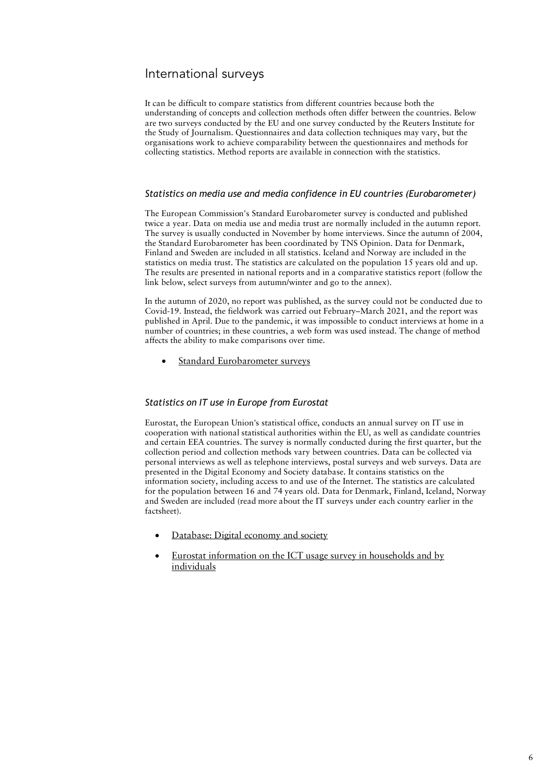# International surveys

It can be difficult to compare statistics from different countries because both the understanding of concepts and collection methods often differ between the countries. Below are two surveys conducted by the EU and one survey conducted by the Reuters Institute for the Study of Journalism. Questionnaires and data collection techniques may vary, but the organisations work to achieve comparability between the questionnaires and methods for collecting statistics. Method reports are available in connection with the statistics.

#### *Statistics on media use and media confidence in EU countries (Eurobarometer)*

 the Standard Eurobarometer has been coordinated by TNS Opinion. Data for Denmark, The results are presented in national reports and in a comparative statistics report (follow the The European Commission's Standard Eurobarometer survey is conducted and published twice a year. Data on media use and media trust are normally included in the autumn report. The survey is usually conducted in November by home interviews. Since the autumn of 2004, Finland and Sweden are included in all statistics. Iceland and Norway are included in the statistics on media trust. The statistics are calculated on the population 15 years old and up. link below, select surveys from autumn/winter and go to the annex).

 affects the ability to make comparisons over time. In the autumn of 2020, no report was published, as the survey could not be conducted due to Covid-19. Instead, the fieldwork was carried out February–March 2021, and the report was published in April. Due to the pandemic, it was impossible to conduct interviews at home in a number of countries; in these countries, a web form was used instead. The change of method

[Standard Eurobarometer surveys](https://europa.eu/eurobarometer/surveys/browse/all/series/4961)

#### *Statistics on IT use in Europe from Eurostat*

 cooperation with national statistical authorities within the EU, as well as candidate countries Eurostat, the European Union's statistical office, conducts an annual survey on IT use in and certain EEA countries. The survey is normally conducted during the first quarter, but the collection period and collection methods vary between countries. Data can be collected via personal interviews as well as telephone interviews, postal surveys and web surveys. Data are presented in the Digital Economy and Society database. It contains statistics on the information society, including access to and use of the Internet. The statistics are calculated for the population between 16 and 74 years old. Data for Denmark, Finland, Iceland, Norway and Sweden are included (read more about the IT surveys under each country earlier in the factsheet).

- [Database: Digital economy and society](https://ec.europa.eu/eurostat/web/digital-economy-and-society/data/database)
- [Eurostat information on the ICT usage survey in households and by](https://ec.europa.eu/eurostat/cache/metadata/en/isoc_i_esms.htm) individuals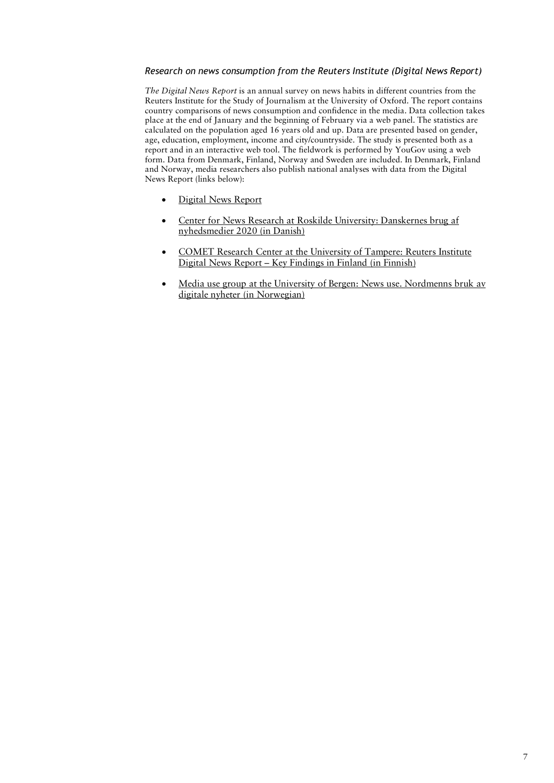### *Research on news consumption from the Reuters Institute (Digital News Report)*

 place at the end of January and the beginning of February via a web panel. The statistics are calculated on the population aged 16 years old and up. Data are presented based on gender, age, education, employment, income and city/countryside. The study is presented both as a *The Digital News Report* is an annual survey on news habits in different countries from the Reuters Institute for the Study of Journalism at the University of Oxford. The report contains country comparisons of news consumption and confidence in the media. Data collection takes report and in an interactive web tool. The fieldwork is performed by YouGov using a web form. Data from Denmark, Finland, Norway and Sweden are included. In Denmark, Finland and Norway, media researchers also publish national analyses with data from the Digital News Report (links below):

- [Digital News Report](http://www.digitalnewsreport.org/)
- nyhedsmedier 2020 (in Danish) • [Center for News Research at Roskilde University: Danskernes brug af](https://forskning.ruc.dk/da/organisations/center-for-nyhedsforskning/publications/?type=%2Fdk%2Fatira%2Fpure%2Fresearchoutput%2Fresearchoutputtypes%2Fbookanthology%2Fcommissioned)
- Digital News Report Key Findings in Finland (in Finnish) • [COMET Research Center at the University of Tampere: Reuters Institute](https://research.tuni.fi/comet-en/reuters-institute-digital-news-report-key-findings-in-finland/)
- [Media use group at the University of Bergen: News use. Nordmenns bruk av](https://translate.google.com/translate?hl=en&prev=_t&sl=sv&tl=en&u=https://nyhetsbruk.w.uib.no/) digitale nyheter (in Norwegian)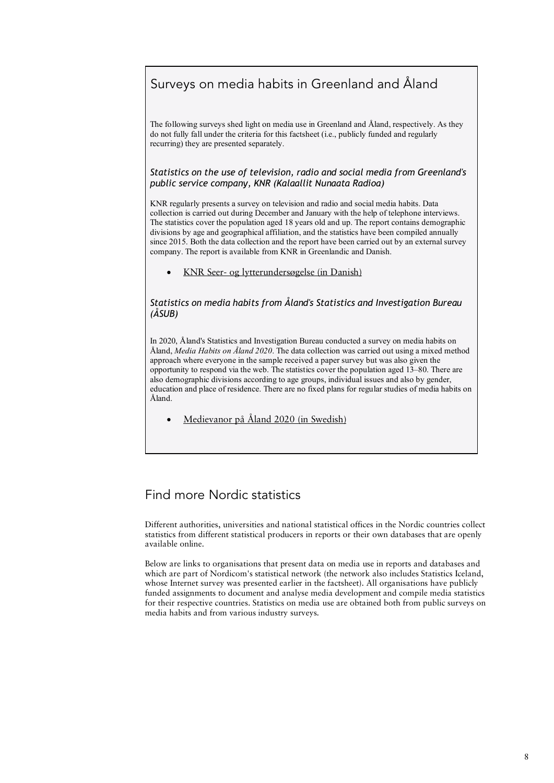# Surveys on media habits in Greenland and Åland

 do not fully fall under the criteria for this factsheet (i.e., publicly funded and regularly The following surveys shed light on media use in Greenland and Åland, respectively. As they recurring) they are presented separately.

 *Statistics on the use of television, radio and social media from Greenland's public service company, KNR (Kalaallit Nunaata Radioa)* 

KNR regularly presents a survey on television and radio and social media habits. Data collection is carried out during December and January with the help of telephone interviews. The statistics cover the population aged 18 years old and up. The report contains demographic divisions by age and geographical affiliation, and the statistics have been compiled annually since 2015. Both the data collection and the report have been carried out by an external survey company. The report is available from KNR in Greenlandic and Danish.

• KNR Seer- [og lytterundersøgelse \(in Danish\)](https://knr.gl/da/om-knr/publikationer)

### *Statistics on media habits from Åland's Statistics and Investigation Bureau (ÅSUB)*

 opportunity to respond via the web. The statistics cover the population aged 13–80. There are In 2020, Åland's Statistics and Investigation Bureau conducted a survey on media habits on Åland, *Media Habits on Åland 2020*. The data collection was carried out using a mixed method approach where everyone in the sample received a paper survey but was also given the also demographic divisions according to age groups, individual issues and also by gender, education and place of residence. There are no fixed plans for regular studies of media habits on Åland.

• [Medievanor på Åland 2020](https://www.asub.ax/sv/utredning/medievanor-pa-aland-2020) (in Swedish)

# Find more Nordic statistics

 statistics from different statistical producers in reports or their own databases that are openly Different authorities, universities and national statistical offices in the Nordic countries collect available online.

 which are part of Nordicom's statistical network (the network also includes Statistics Iceland, for their respective countries. Statistics on media use are obtained both from public surveys on Below are links to organisations that present data on media use in reports and databases and whose Internet survey was presented earlier in the factsheet). All organisations have publicly funded assignments to document and analyse media development and compile media statistics media habits and from various industry surveys.